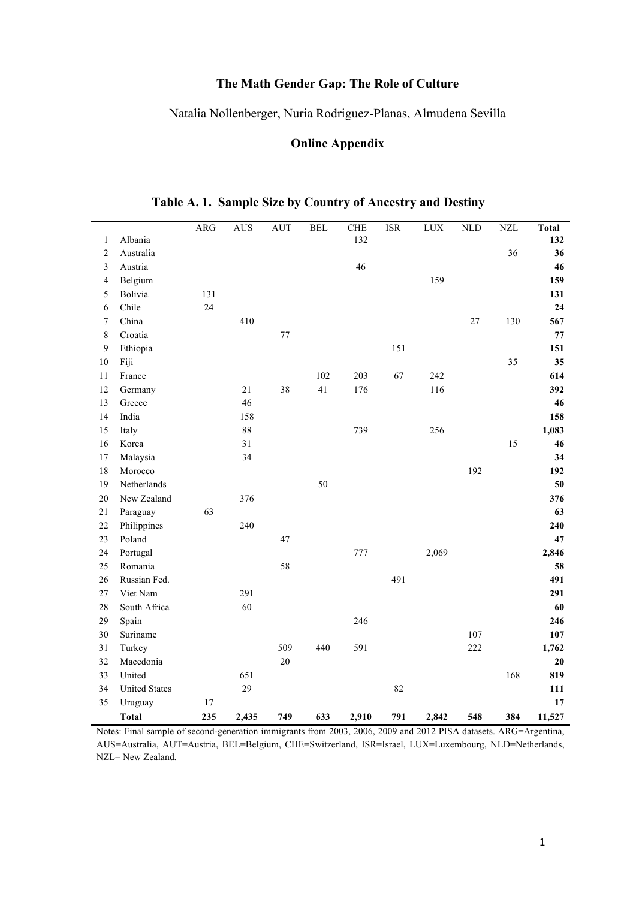## **The Math Gender Gap: The Role of Culture**

### Natalia Nollenberger, Nuria Rodriguez-Planas, Almudena Sevilla

### **Online Appendix**

|                         |                      | ARG    | <b>AUS</b>         | <b>AUT</b> | <b>BEL</b> | <b>CHE</b>       | <b>ISR</b> | LUX   | <b>NLD</b> | <b>NZL</b> | <b>Total</b>     |
|-------------------------|----------------------|--------|--------------------|------------|------------|------------------|------------|-------|------------|------------|------------------|
| $\mathbf{1}$            | Albania              |        |                    |            |            | $\overline{132}$ |            |       |            |            | $\overline{132}$ |
| $\sqrt{2}$              | Australia            |        |                    |            |            |                  |            |       |            | 36         | 36               |
| $\overline{\mathbf{3}}$ | Austria              |        |                    |            |            | 46               |            |       |            |            | 46               |
| $\overline{4}$          | Belgium              |        |                    |            |            |                  |            | 159   |            |            | 159              |
| 5                       | Bolivia              | 131    |                    |            |            |                  |            |       |            |            | 131              |
| 6                       | Chile                | 24     |                    |            |            |                  |            |       |            |            | 24               |
| $\tau$                  | China                |        | 410                |            |            |                  |            |       | $27\,$     | 130        | 567              |
| $\,8\,$                 | Croatia              |        |                    | $77 \,$    |            |                  |            |       |            |            | 77               |
| 9                       | Ethiopia             |        |                    |            |            |                  | 151        |       |            |            | 151              |
| 10                      | Fiji                 |        |                    |            |            |                  |            |       |            | 35         | 35               |
| 11                      | France               |        |                    |            | 102        | 203              | 67         | 242   |            |            | 614              |
| 12                      | Germany              |        | 21                 | 38         | 41         | 176              |            | 116   |            |            | 392              |
| 13                      | Greece               |        | 46                 |            |            |                  |            |       |            |            | 46               |
| 14                      | India                |        | 158                |            |            |                  |            |       |            |            | 158              |
| 15                      | Italy                |        | $88\,$             |            |            | 739              |            | 256   |            |            | 1,083            |
| 16                      | Korea                |        | 31                 |            |            |                  |            |       |            | 15         | 46               |
| 17                      | Malaysia             |        | 34                 |            |            |                  |            |       |            |            | 34               |
| 18                      | Morocco              |        |                    |            |            |                  |            |       | 192        |            | 192              |
| 19                      | Netherlands          |        |                    |            | 50         |                  |            |       |            |            | 50               |
| 20                      | New Zealand          |        | 376                |            |            |                  |            |       |            |            | 376              |
| 21                      | Paraguay             | 63     |                    |            |            |                  |            |       |            |            | 63               |
| 22                      | Philippines          |        | 240                |            |            |                  |            |       |            |            | 240              |
| 23                      | Poland               |        |                    | 47         |            |                  |            |       |            |            | 47               |
| 24                      | Portugal             |        |                    |            |            | 777              |            | 2,069 |            |            | 2,846            |
| 25                      | Romania              |        |                    | 58         |            |                  |            |       |            |            | 58               |
| 26                      | Russian Fed.         |        |                    |            |            |                  | 491        |       |            |            | 491              |
| 27                      | Viet Nam             |        | 291                |            |            |                  |            |       |            |            | 291              |
| 28                      | South Africa         |        | 60                 |            |            |                  |            |       |            |            | 60               |
| 29                      | Spain                |        |                    |            |            | 246              |            |       |            |            | 246              |
| 30                      | Suriname             |        |                    |            |            |                  |            |       | 107        |            | 107              |
| 31                      | Turkey               |        |                    | 509        | 440        | 591              |            |       | 222        |            | 1,762            |
| 32                      | Macedonia            |        |                    | 20         |            |                  |            |       |            |            | 20               |
| 33                      | United               |        | 651                |            |            |                  |            |       |            | 168        | 819              |
| 34                      | <b>United States</b> |        | 29                 |            |            |                  | 82         |       |            |            | 111              |
| 35                      | Uruguay              | $17\,$ |                    |            |            |                  |            |       |            |            | 17               |
|                         | <b>Total</b>         | 235    | $\overline{2,}435$ | 749        | 633        | 2,910            | 791        | 2,842 | 548        | 384        | 11,527           |

**Table A. 1. Sample Size by Country of Ancestry and Destiny**

Notes: Final sample of second-generation immigrants from 2003, 2006, 2009 and 2012 PISA datasets. ARG=Argentina, AUS=Australia, AUT=Austria, BEL=Belgium, CHE=Switzerland, ISR=Israel, LUX=Luxembourg, NLD=Netherlands, NZL= New Zealand*.*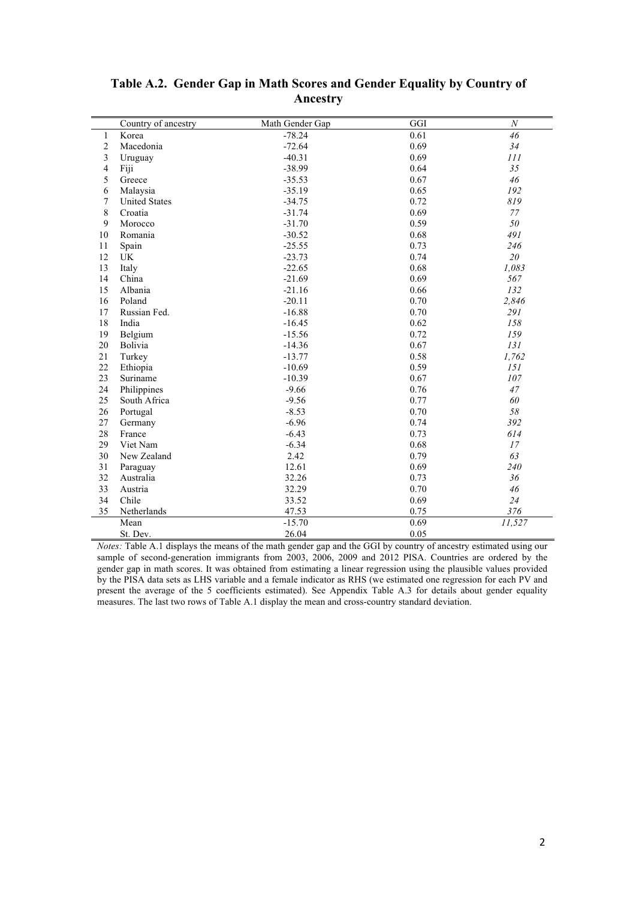|                | Country of ancestry  | Math Gender Gap | GGI  | $\cal N$ |
|----------------|----------------------|-----------------|------|----------|
| $\mathbf{1}$   | Korea                | $-78.24$        | 0.61 | 46       |
| $\overline{2}$ | Macedonia            | $-72.64$        | 0.69 | 34       |
| 3              | Uruguay              | $-40.31$        | 0.69 | 111      |
| $\overline{4}$ | Fiji                 | $-38.99$        | 0.64 | 35       |
| 5              | Greece               | $-35.53$        | 0.67 | 46       |
| 6              | Malaysia             | $-35.19$        | 0.65 | 192      |
| 7              | <b>United States</b> | $-34.75$        | 0.72 | 819      |
| 8              | Croatia              | $-31.74$        | 0.69 | 77       |
| 9              | Morocco              | $-31.70$        | 0.59 | 50       |
| 10             | Romania              | $-30.52$        | 0.68 | 491      |
| 11             | Spain                | $-25.55$        | 0.73 | 246      |
| 12             | UK                   | $-23.73$        | 0.74 | 20       |
| 13             | Italy                | $-22.65$        | 0.68 | 1,083    |
| 14             | China                | $-21.69$        | 0.69 | 567      |
| 15             | Albania              | $-21.16$        | 0.66 | 132      |
| 16             | Poland               | $-20.11$        | 0.70 | 2,846    |
| 17             | Russian Fed.         | $-16.88$        | 0.70 | 291      |
| 18             | India                | $-16.45$        | 0.62 | 158      |
| 19             | Belgium              | $-15.56$        | 0.72 | 159      |
| 20             | Bolivia              | $-14.36$        | 0.67 | 131      |
| 21             | Turkey               | $-13.77$        | 0.58 | 1,762    |
| 22             | Ethiopia             | $-10.69$        | 0.59 | 151      |
| 23             | Suriname             | $-10.39$        | 0.67 | 107      |
| 24             | Philippines          | $-9.66$         | 0.76 | 47       |
| 25             | South Africa         | $-9.56$         | 0.77 | 60       |
| 26             | Portugal             | $-8.53$         | 0.70 | 58       |
| 27             | Germany              | $-6.96$         | 0.74 | 392      |
| 28             | France               | $-6.43$         | 0.73 | 614      |
| 29             | Viet Nam             | $-6.34$         | 0.68 | 17       |
| 30             | New Zealand          | 2.42            | 0.79 | 63       |
| 31             | Paraguay             | 12.61           | 0.69 | 240      |
| 32             | Australia            | 32.26           | 0.73 | 36       |
| 33             | Austria              | 32.29           | 0.70 | 46       |
| 34             | Chile                | 33.52           | 0.69 | 24       |
| 35             | Netherlands          | 47.53           | 0.75 | 376      |
|                | Mean                 | $-15.70$        | 0.69 | 11,527   |
|                | St. Dev.             | 26.04           | 0.05 |          |

#### **Table A.2. Gender Gap in Math Scores and Gender Equality by Country of Ancestry**

*Notes:* Table A.1 displays the means of the math gender gap and the GGI by country of ancestry estimated using our sample of second-generation immigrants from 2003, 2006, 2009 and 2012 PISA. Countries are ordered by the gender gap in math scores. It was obtained from estimating a linear regression using the plausible values provided by the PISA data sets as LHS variable and a female indicator as RHS (we estimated one regression for each PV and present the average of the 5 coefficients estimated). See Appendix Table A.3 for details about gender equality measures. The last two rows of Table A.1 display the mean and cross-country standard deviation.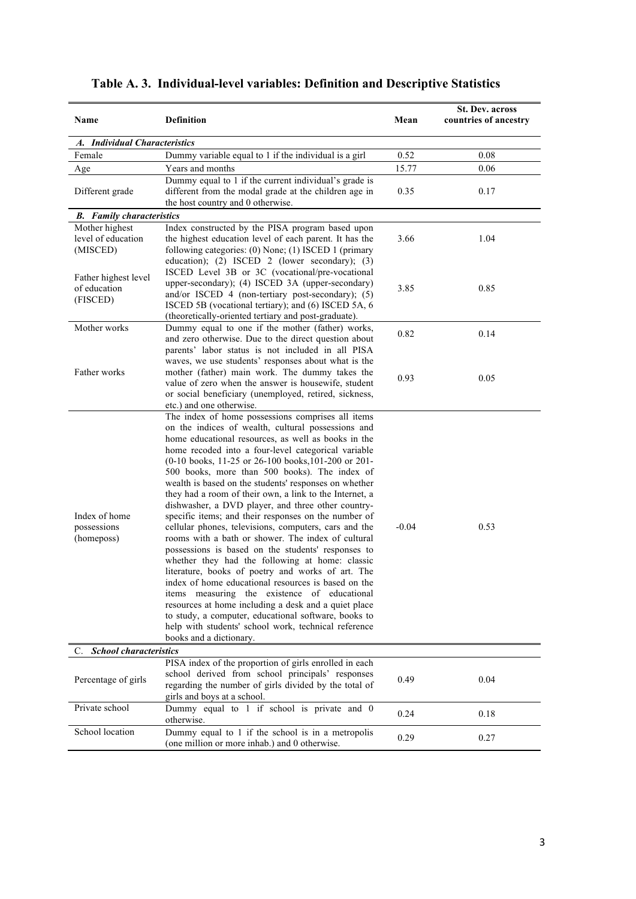| Name                                                                              | <b>Definition</b>                                                                                                                                                                                                                                                                                                                                                                                                                                                                                                                                                                                                                                                                                                                                                                                                                                                                                                                                                                                                                                                                                                                                      | Mean         | <b>St. Dev. across</b><br>countries of ancestry |
|-----------------------------------------------------------------------------------|--------------------------------------------------------------------------------------------------------------------------------------------------------------------------------------------------------------------------------------------------------------------------------------------------------------------------------------------------------------------------------------------------------------------------------------------------------------------------------------------------------------------------------------------------------------------------------------------------------------------------------------------------------------------------------------------------------------------------------------------------------------------------------------------------------------------------------------------------------------------------------------------------------------------------------------------------------------------------------------------------------------------------------------------------------------------------------------------------------------------------------------------------------|--------------|-------------------------------------------------|
| A. Individual Characteristics                                                     |                                                                                                                                                                                                                                                                                                                                                                                                                                                                                                                                                                                                                                                                                                                                                                                                                                                                                                                                                                                                                                                                                                                                                        |              |                                                 |
| Female                                                                            | Dummy variable equal to 1 if the individual is a girl                                                                                                                                                                                                                                                                                                                                                                                                                                                                                                                                                                                                                                                                                                                                                                                                                                                                                                                                                                                                                                                                                                  | 0.52         | 0.08                                            |
| Age                                                                               | Years and months                                                                                                                                                                                                                                                                                                                                                                                                                                                                                                                                                                                                                                                                                                                                                                                                                                                                                                                                                                                                                                                                                                                                       | 15.77        | 0.06                                            |
| Different grade                                                                   | Dummy equal to 1 if the current individual's grade is<br>different from the modal grade at the children age in<br>the host country and 0 otherwise.                                                                                                                                                                                                                                                                                                                                                                                                                                                                                                                                                                                                                                                                                                                                                                                                                                                                                                                                                                                                    | 0.35         | 0.17                                            |
| <b>B.</b> Family characteristics                                                  |                                                                                                                                                                                                                                                                                                                                                                                                                                                                                                                                                                                                                                                                                                                                                                                                                                                                                                                                                                                                                                                                                                                                                        |              |                                                 |
| Mother highest                                                                    | Index constructed by the PISA program based upon                                                                                                                                                                                                                                                                                                                                                                                                                                                                                                                                                                                                                                                                                                                                                                                                                                                                                                                                                                                                                                                                                                       |              |                                                 |
| level of education<br>(MISCED)                                                    | the highest education level of each parent. It has the<br>following categories: (0) None; (1) ISCED 1 (primary<br>education); (2) ISCED 2 (lower secondary); (3)                                                                                                                                                                                                                                                                                                                                                                                                                                                                                                                                                                                                                                                                                                                                                                                                                                                                                                                                                                                       | 3.66         | 1.04                                            |
| Father highest level<br>of education<br>(FISCED)                                  | ISCED Level 3B or 3C (vocational/pre-vocational<br>upper-secondary); (4) ISCED 3A (upper-secondary)<br>and/or ISCED 4 (non-tertiary post-secondary); (5)<br>ISCED 5B (vocational tertiary); and (6) ISCED 5A, 6<br>(theoretically-oriented tertiary and post-graduate).                                                                                                                                                                                                                                                                                                                                                                                                                                                                                                                                                                                                                                                                                                                                                                                                                                                                                | 3.85         | 0.85                                            |
| Mother works                                                                      | Dummy equal to one if the mother (father) works,                                                                                                                                                                                                                                                                                                                                                                                                                                                                                                                                                                                                                                                                                                                                                                                                                                                                                                                                                                                                                                                                                                       |              |                                                 |
| Father works                                                                      | and zero otherwise. Due to the direct question about<br>parents' labor status is not included in all PISA<br>waves, we use students' responses about what is the<br>mother (father) main work. The dummy takes the<br>value of zero when the answer is housewife, student<br>or social beneficiary (unemployed, retired, sickness,<br>etc.) and one otherwise.                                                                                                                                                                                                                                                                                                                                                                                                                                                                                                                                                                                                                                                                                                                                                                                         | 0.82<br>0.93 | 0.14<br>0.05                                    |
| Index of home<br>possessions<br>(homeposs)<br><b>School characteristics</b><br>C. | The index of home possessions comprises all items<br>on the indices of wealth, cultural possessions and<br>home educational resources, as well as books in the<br>home recoded into a four-level categorical variable<br>(0-10 books, 11-25 or 26-100 books, 101-200 or 201-<br>500 books, more than 500 books). The index of<br>wealth is based on the students' responses on whether<br>they had a room of their own, a link to the Internet, a<br>dishwasher, a DVD player, and three other country-<br>specific items; and their responses on the number of<br>cellular phones, televisions, computers, cars and the<br>rooms with a bath or shower. The index of cultural<br>possessions is based on the students' responses to<br>whether they had the following at home: classic<br>literature, books of poetry and works of art. The<br>index of home educational resources is based on the<br>items measuring the existence of educational<br>resources at home including a desk and a quiet place<br>to study, a computer, educational software, books to<br>help with students' school work, technical reference<br>books and a dictionary. | $-0.04$      | 0.53                                            |
|                                                                                   |                                                                                                                                                                                                                                                                                                                                                                                                                                                                                                                                                                                                                                                                                                                                                                                                                                                                                                                                                                                                                                                                                                                                                        |              |                                                 |
| Percentage of girls                                                               | PISA index of the proportion of girls enrolled in each<br>school derived from school principals' responses<br>regarding the number of girls divided by the total of<br>girls and boys at a school.                                                                                                                                                                                                                                                                                                                                                                                                                                                                                                                                                                                                                                                                                                                                                                                                                                                                                                                                                     | 0.49         | 0.04                                            |
| Private school                                                                    | Dummy equal to 1 if school is private and 0<br>otherwise.                                                                                                                                                                                                                                                                                                                                                                                                                                                                                                                                                                                                                                                                                                                                                                                                                                                                                                                                                                                                                                                                                              | 0.24         | 0.18                                            |
| School location                                                                   | Dummy equal to 1 if the school is in a metropolis<br>(one million or more inhab.) and 0 otherwise.                                                                                                                                                                                                                                                                                                                                                                                                                                                                                                                                                                                                                                                                                                                                                                                                                                                                                                                                                                                                                                                     | 0.29         | 0.27                                            |

# **Table A. 3. Individual-level variables: Definition and Descriptive Statistics**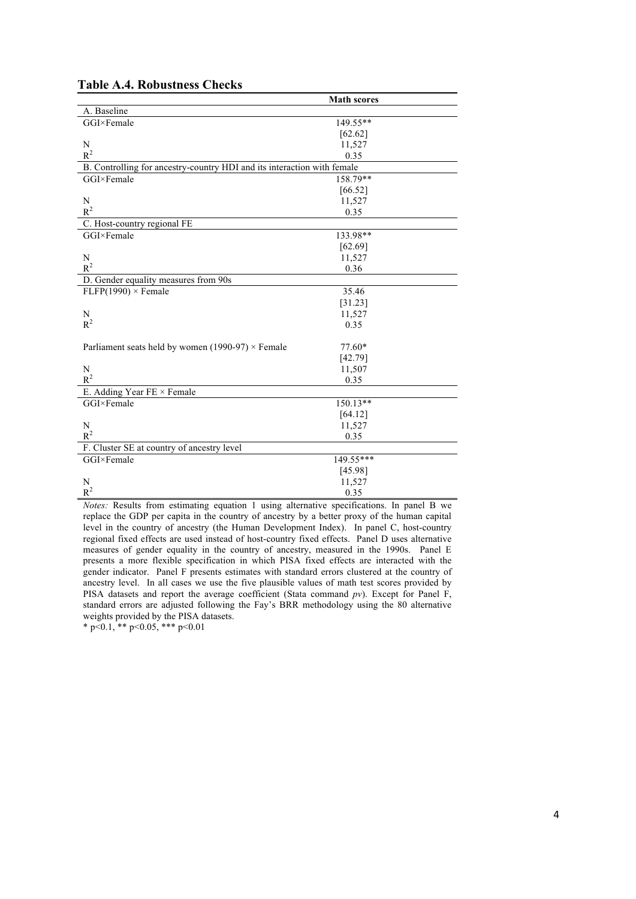|                                                                         | <b>Math scores</b> |
|-------------------------------------------------------------------------|--------------------|
| A. Baseline                                                             |                    |
| GGI×Female                                                              | 149.55**           |
|                                                                         | [62.62]            |
| N                                                                       | 11,527             |
| $R^2$                                                                   | 0.35               |
| B. Controlling for ancestry-country HDI and its interaction with female |                    |
| GGI×Female                                                              | 158.79**           |
|                                                                         | [66.52]            |
| N                                                                       | 11,527             |
| $R^2$                                                                   | 0.35               |
| C. Host-country regional FE                                             |                    |
| GGI×Female                                                              | 133.98**           |
|                                                                         | [62.69]            |
| N                                                                       | 11,527             |
| $R^2$                                                                   | 0.36               |
| D. Gender equality measures from 90s                                    |                    |
| $FLFP(1990) \times Female$                                              | 35.46              |
|                                                                         | [31.23]            |
| N                                                                       | 11,527             |
| $R^2$                                                                   | 0.35               |
|                                                                         |                    |
| Parliament seats held by women (1990-97) $\times$ Female                | $77.60*$           |
|                                                                         | [42.79]            |
| N                                                                       | 11,507             |
| $R^2$                                                                   | 0.35               |
| E. Adding Year FE × Female                                              |                    |
| GGI×Female                                                              | 150.13**           |
|                                                                         | [64.12]            |
| N                                                                       | 11,527             |
| $R^2$                                                                   | 0.35               |
| F. Cluster SE at country of ancestry level                              |                    |
| GGI×Female                                                              | 149.55***          |
|                                                                         | [45.98]            |
| N                                                                       | 11,527             |
| $R^2$                                                                   | 0.35               |

#### **Table A.4. Robustness Checks**

*Notes:* Results from estimating equation 1 using alternative specifications. In panel B we replace the GDP per capita in the country of ancestry by a better proxy of the human capital level in the country of ancestry (the Human Development Index). In panel C, host-country regional fixed effects are used instead of host-country fixed effects. Panel D uses alternative measures of gender equality in the country of ancestry, measured in the 1990s. Panel E presents a more flexible specification in which PISA fixed effects are interacted with the gender indicator. Panel F presents estimates with standard errors clustered at the country of ancestry level. In all cases we use the five plausible values of math test scores provided by PISA datasets and report the average coefficient (Stata command *pv*). Except for Panel F, standard errors are adjusted following the Fay's BRR methodology using the 80 alternative weights provided by the PISA datasets.

\* p<0.1, \*\* p<0.05, \*\*\* p<0.01